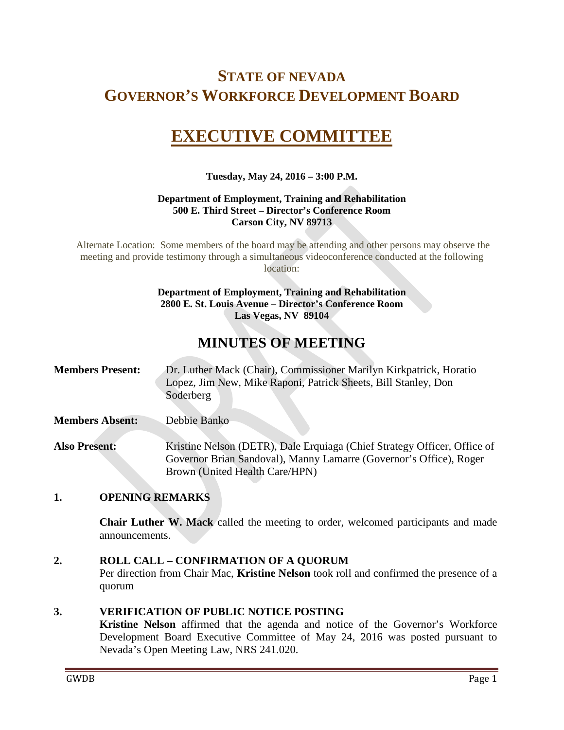## **STATE OF NEVADA GOVERNOR'S WORKFORCE DEVELOPMENT BOARD**

# **EXECUTIVE COMMITTEE**

#### **Tuesday, May 24, 2016 – 3:00 P.M.**

#### **Department of Employment, Training and Rehabilitation 500 E. Third Street – Director's Conference Room Carson City, NV 89713**

Alternate Location: Some members of the board may be attending and other persons may observe the meeting and provide testimony through a simultaneous videoconference conducted at the following location:

#### **Department of Employment, Training and Rehabilitation 2800 E. St. Louis Avenue – Director's Conference Room Las Vegas, NV 89104**

## **MINUTES OF MEETING**

| <b>Members Present:</b> | Dr. Luther Mack (Chair), Commissioner Marilyn Kirkpatrick, Horatio |
|-------------------------|--------------------------------------------------------------------|
|                         | Lopez, Jim New, Mike Raponi, Patrick Sheets, Bill Stanley, Don     |
|                         | Soderberg                                                          |

**Members Absent:** Debbie Banko

**Also Present:** Kristine Nelson (DETR), Dale Erquiaga (Chief Strategy Officer, Office of Governor Brian Sandoval), Manny Lamarre (Governor's Office), Roger Brown (United Health Care/HPN)

## **1. OPENING REMARKS**

**Chair Luther W. Mack** called the meeting to order, welcomed participants and made announcements.

#### **2. ROLL CALL – CONFIRMATION OF A QUORUM**

Per direction from Chair Mac, **Kristine Nelson** took roll and confirmed the presence of a quorum

#### **3. VERIFICATION OF PUBLIC NOTICE POSTING**

**Kristine Nelson** affirmed that the agenda and notice of the Governor's Workforce Development Board Executive Committee of May 24, 2016 was posted pursuant to Nevada's Open Meeting Law, NRS 241.020.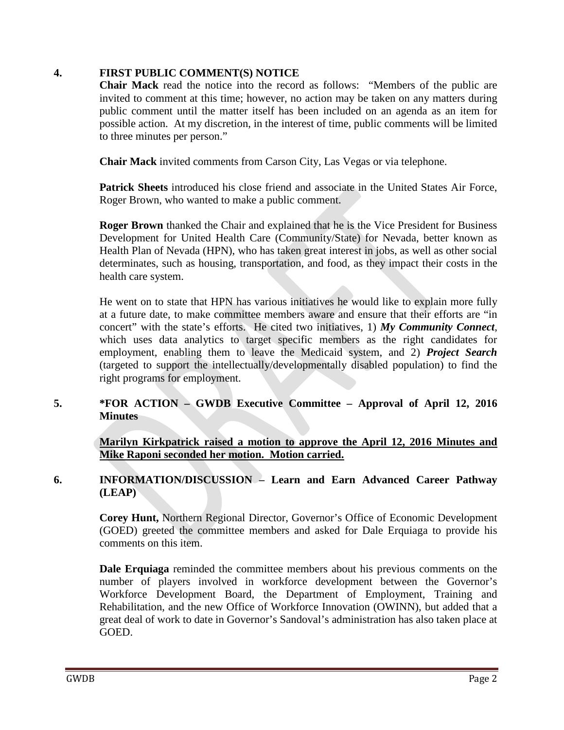#### **4. FIRST PUBLIC COMMENT(S) NOTICE**

**Chair Mack** read the notice into the record as follows: "Members of the public are invited to comment at this time; however, no action may be taken on any matters during public comment until the matter itself has been included on an agenda as an item for possible action. At my discretion, in the interest of time, public comments will be limited to three minutes per person."

**Chair Mack** invited comments from Carson City, Las Vegas or via telephone.

**Patrick Sheets** introduced his close friend and associate in the United States Air Force, Roger Brown, who wanted to make a public comment.

**Roger Brown** thanked the Chair and explained that he is the Vice President for Business Development for United Health Care (Community/State) for Nevada, better known as Health Plan of Nevada (HPN), who has taken great interest in jobs, as well as other social determinates, such as housing, transportation, and food, as they impact their costs in the health care system.

He went on to state that HPN has various initiatives he would like to explain more fully at a future date, to make committee members aware and ensure that their efforts are "in concert" with the state's efforts. He cited two initiatives, 1) *My Community Connect*, which uses data analytics to target specific members as the right candidates for employment, enabling them to leave the Medicaid system, and 2) *Project Search* (targeted to support the intellectually/developmentally disabled population) to find the right programs for employment.

## **5. \*FOR ACTION – GWDB Executive Committee – Approval of April 12, 2016 Minutes**

**Marilyn Kirkpatrick raised a motion to approve the April 12, 2016 Minutes and Mike Raponi seconded her motion. Motion carried.**

## **6. INFORMATION/DISCUSSION – Learn and Earn Advanced Career Pathway (LEAP)**

**Corey Hunt,** Northern Regional Director, Governor's Office of Economic Development (GOED) greeted the committee members and asked for Dale Erquiaga to provide his comments on this item.

**Dale Erquiaga** reminded the committee members about his previous comments on the number of players involved in workforce development between the Governor's Workforce Development Board, the Department of Employment, Training and Rehabilitation, and the new Office of Workforce Innovation (OWINN), but added that a great deal of work to date in Governor's Sandoval's administration has also taken place at GOED.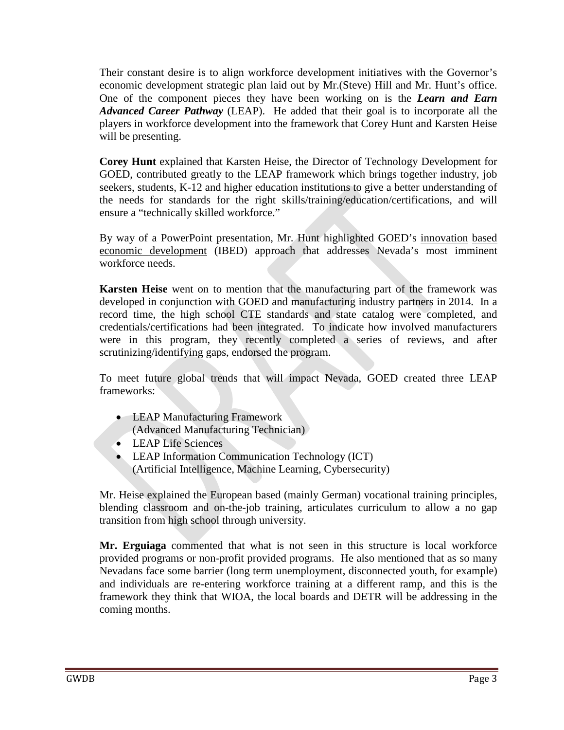Their constant desire is to align workforce development initiatives with the Governor's economic development strategic plan laid out by Mr.(Steve) Hill and Mr. Hunt's office. One of the component pieces they have been working on is the *Learn and Earn Advanced Career Pathway* (LEAP). He added that their goal is to incorporate all the players in workforce development into the framework that Corey Hunt and Karsten Heise will be presenting.

**Corey Hunt** explained that Karsten Heise, the Director of Technology Development for GOED, contributed greatly to the LEAP framework which brings together industry, job seekers, students, K-12 and higher education institutions to give a better understanding of the needs for standards for the right skills/training/education/certifications, and will ensure a "technically skilled workforce."

By way of a PowerPoint presentation, Mr. Hunt highlighted GOED's innovation based economic development (IBED) approach that addresses Nevada's most imminent workforce needs.

**Karsten Heise** went on to mention that the manufacturing part of the framework was developed in conjunction with GOED and manufacturing industry partners in 2014. In a record time, the high school CTE standards and state catalog were completed, and credentials/certifications had been integrated. To indicate how involved manufacturers were in this program, they recently completed a series of reviews, and after scrutinizing/identifying gaps, endorsed the program.

To meet future global trends that will impact Nevada, GOED created three LEAP frameworks:

- LEAP Manufacturing Framework (Advanced Manufacturing Technician)
- LEAP Life Sciences
- LEAP Information Communication Technology (ICT) (Artificial Intelligence, Machine Learning, Cybersecurity)

Mr. Heise explained the European based (mainly German) vocational training principles, blending classroom and on-the-job training, articulates curriculum to allow a no gap transition from high school through university.

**Mr. Erguiaga** commented that what is not seen in this structure is local workforce provided programs or non-profit provided programs. He also mentioned that as so many Nevadans face some barrier (long term unemployment, disconnected youth, for example) and individuals are re-entering workforce training at a different ramp, and this is the framework they think that WIOA, the local boards and DETR will be addressing in the coming months.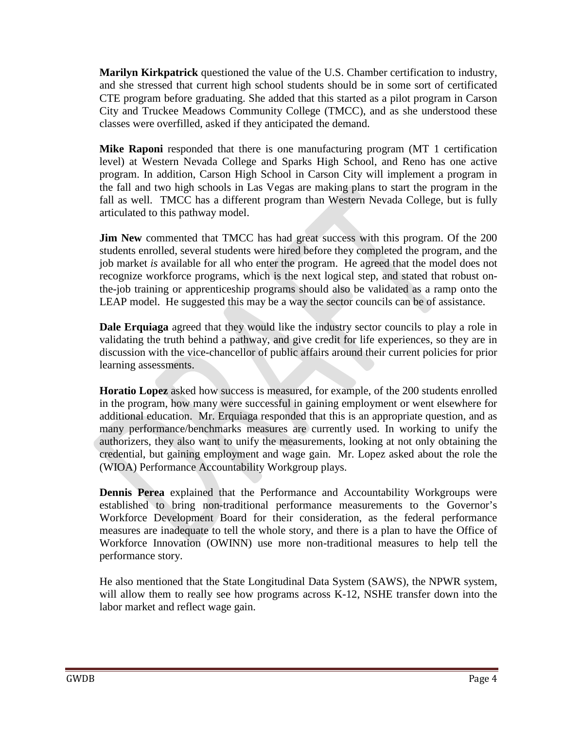**Marilyn Kirkpatrick** questioned the value of the U.S. Chamber certification to industry, and she stressed that current high school students should be in some sort of certificated CTE program before graduating. She added that this started as a pilot program in Carson City and Truckee Meadows Community College (TMCC), and as she understood these classes were overfilled, asked if they anticipated the demand.

**Mike Raponi** responded that there is one manufacturing program (MT 1 certification level) at Western Nevada College and Sparks High School, and Reno has one active program. In addition, Carson High School in Carson City will implement a program in the fall and two high schools in Las Vegas are making plans to start the program in the fall as well. TMCC has a different program than Western Nevada College, but is fully articulated to this pathway model.

**Jim New** commented that TMCC has had great success with this program. Of the 200 students enrolled, several students were hired before they completed the program, and the job market *is* available for all who enter the program. He agreed that the model does not recognize workforce programs, which is the next logical step, and stated that robust onthe-job training or apprenticeship programs should also be validated as a ramp onto the LEAP model. He suggested this may be a way the sector councils can be of assistance.

**Dale Erquiaga** agreed that they would like the industry sector councils to play a role in validating the truth behind a pathway, and give credit for life experiences, so they are in discussion with the vice-chancellor of public affairs around their current policies for prior learning assessments.

**Horatio Lopez** asked how success is measured, for example, of the 200 students enrolled in the program, how many were successful in gaining employment or went elsewhere for additional education. Mr. Erquiaga responded that this is an appropriate question, and as many performance/benchmarks measures are currently used. In working to unify the authorizers, they also want to unify the measurements, looking at not only obtaining the credential, but gaining employment and wage gain. Mr. Lopez asked about the role the (WIOA) Performance Accountability Workgroup plays.

**Dennis Perea** explained that the Performance and Accountability Workgroups were established to bring non-traditional performance measurements to the Governor's Workforce Development Board for their consideration, as the federal performance measures are inadequate to tell the whole story, and there is a plan to have the Office of Workforce Innovation (OWINN) use more non-traditional measures to help tell the performance story.

He also mentioned that the State Longitudinal Data System (SAWS), the NPWR system, will allow them to really see how programs across K-12, NSHE transfer down into the labor market and reflect wage gain.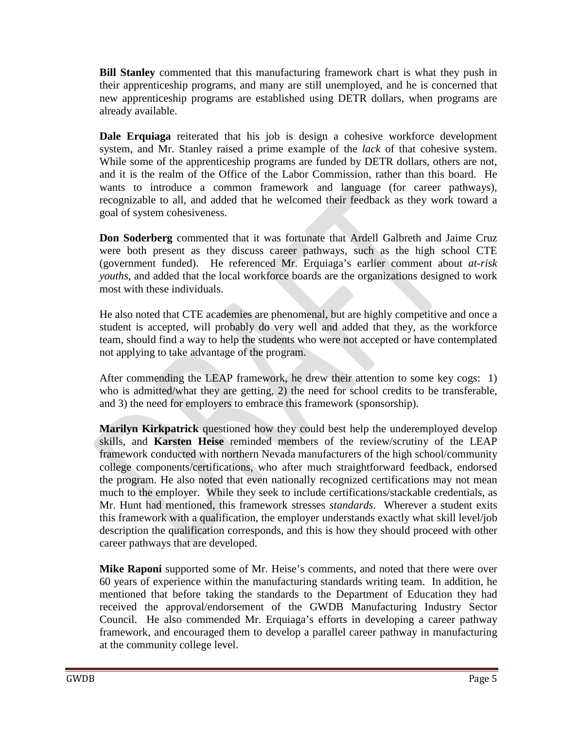**Bill Stanley** commented that this manufacturing framework chart is what they push in their apprenticeship programs, and many are still unemployed, and he is concerned that new apprenticeship programs are established using DETR dollars, when programs are already available.

**Dale Erquiaga** reiterated that his job is design a cohesive workforce development system, and Mr. Stanley raised a prime example of the *lack* of that cohesive system. While some of the apprenticeship programs are funded by DETR dollars, others are not, and it is the realm of the Office of the Labor Commission, rather than this board. He wants to introduce a common framework and language (for career pathways), recognizable to all, and added that he welcomed their feedback as they work toward a goal of system cohesiveness.

**Don Soderberg** commented that it was fortunate that Ardell Galbreth and Jaime Cruz were both present as they discuss career pathways, such as the high school CTE (government funded). He referenced Mr. Erquiaga's earlier comment about *at-risk youths,* and added that the local workforce boards are the organizations designed to work most with these individuals.

He also noted that CTE academies are phenomenal, but are highly competitive and once a student is accepted, will probably do very well and added that they, as the workforce team, should find a way to help the students who were not accepted or have contemplated not applying to take advantage of the program.

After commending the LEAP framework, he drew their attention to some key cogs: 1) who is admitted/what they are getting, 2) the need for school credits to be transferable, and 3) the need for employers to embrace this framework (sponsorship).

**Marilyn Kirkpatrick** questioned how they could best help the underemployed develop skills, and **Karsten Heise** reminded members of the review/scrutiny of the LEAP framework conducted with northern Nevada manufacturers of the high school/community college components/certifications, who after much straightforward feedback, endorsed the program. He also noted that even nationally recognized certifications may not mean much to the employer. While they seek to include certifications/stackable credentials, as Mr. Hunt had mentioned, this framework stresses *standards*. Wherever a student exits this framework with a qualification, the employer understands exactly what skill level/job description the qualification corresponds, and this is how they should proceed with other career pathways that are developed.

**Mike Raponi** supported some of Mr. Heise's comments, and noted that there were over 60 years of experience within the manufacturing standards writing team. In addition, he mentioned that before taking the standards to the Department of Education they had received the approval/endorsement of the GWDB Manufacturing Industry Sector Council. He also commended Mr. Erquiaga's efforts in developing a career pathway framework, and encouraged them to develop a parallel career pathway in manufacturing at the community college level.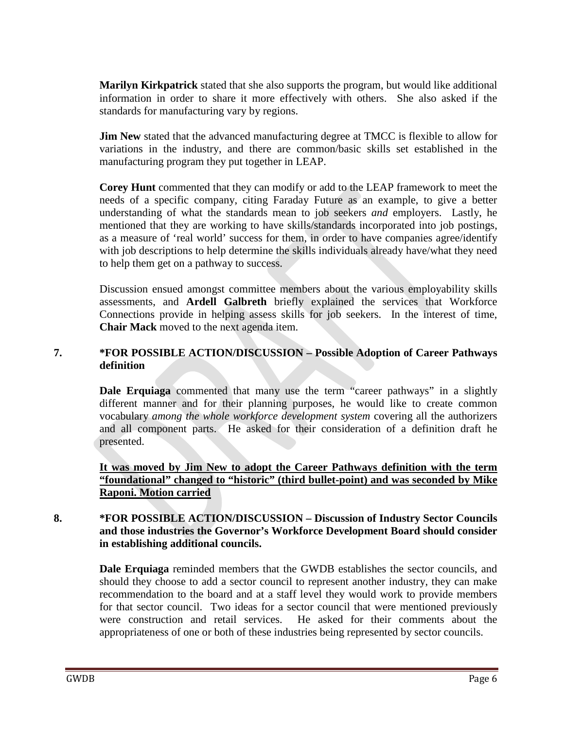**Marilyn Kirkpatrick** stated that she also supports the program, but would like additional information in order to share it more effectively with others. She also asked if the standards for manufacturing vary by regions.

**Jim New** stated that the advanced manufacturing degree at TMCC is flexible to allow for variations in the industry, and there are common/basic skills set established in the manufacturing program they put together in LEAP.

**Corey Hunt** commented that they can modify or add to the LEAP framework to meet the needs of a specific company, citing Faraday Future as an example, to give a better understanding of what the standards mean to job seekers *and* employers. Lastly, he mentioned that they are working to have skills/standards incorporated into job postings, as a measure of 'real world' success for them, in order to have companies agree/identify with job descriptions to help determine the skills individuals already have/what they need to help them get on a pathway to success.

Discussion ensued amongst committee members about the various employability skills assessments, and **Ardell Galbreth** briefly explained the services that Workforce Connections provide in helping assess skills for job seekers. In the interest of time, **Chair Mack** moved to the next agenda item.

## **7. \*FOR POSSIBLE ACTION/DISCUSSION – Possible Adoption of Career Pathways definition**

**Dale Erquiaga** commented that many use the term "career pathways" in a slightly different manner and for their planning purposes, he would like to create common vocabulary *among the whole workforce development system* covering all the authorizers and all component parts. He asked for their consideration of a definition draft he presented.

**It was moved by Jim New to adopt the Career Pathways definition with the term "foundational" changed to "historic" (third bullet-point) and was seconded by Mike Raponi. Motion carried**

## **8. \*FOR POSSIBLE ACTION/DISCUSSION – Discussion of Industry Sector Councils and those industries the Governor's Workforce Development Board should consider in establishing additional councils.**

**Dale Erquiaga** reminded members that the GWDB establishes the sector councils, and should they choose to add a sector council to represent another industry, they can make recommendation to the board and at a staff level they would work to provide members for that sector council. Two ideas for a sector council that were mentioned previously were construction and retail services. He asked for their comments about the appropriateness of one or both of these industries being represented by sector councils.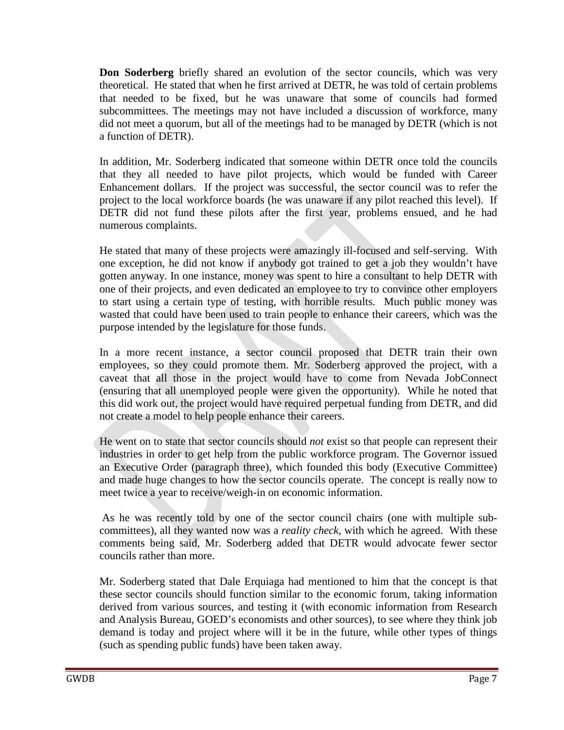**Don Soderberg** briefly shared an evolution of the sector councils, which was very theoretical. He stated that when he first arrived at DETR, he was told of certain problems that needed to be fixed, but he was unaware that some of councils had formed subcommittees. The meetings may not have included a discussion of workforce, many did not meet a quorum, but all of the meetings had to be managed by DETR (which is not a function of DETR).

In addition, Mr. Soderberg indicated that someone within DETR once told the councils that they all needed to have pilot projects, which would be funded with Career Enhancement dollars. If the project was successful, the sector council was to refer the project to the local workforce boards (he was unaware if any pilot reached this level). If DETR did not fund these pilots after the first year, problems ensued, and he had numerous complaints.

He stated that many of these projects were amazingly ill-focused and self-serving. With one exception, he did not know if anybody got trained to get a job they wouldn't have gotten anyway. In one instance, money was spent to hire a consultant to help DETR with one of their projects, and even dedicated an employee to try to convince other employers to start using a certain type of testing, with horrible results. Much public money was wasted that could have been used to train people to enhance their careers, which was the purpose intended by the legislature for those funds.

In a more recent instance, a sector council proposed that DETR train their own employees, so they could promote them. Mr. Soderberg approved the project, with a caveat that all those in the project would have to come from Nevada JobConnect (ensuring that all unemployed people were given the opportunity). While he noted that this did work out, the project would have required perpetual funding from DETR, and did not create a model to help people enhance their careers.

He went on to state that sector councils should *not* exist so that people can represent their industries in order to get help from the public workforce program. The Governor issued an Executive Order (paragraph three), which founded this body (Executive Committee) and made huge changes to how the sector councils operate. The concept is really now to meet twice a year to receive/weigh-in on economic information.

As he was recently told by one of the sector council chairs (one with multiple subcommittees), all they wanted now was a *reality check,* with which he agreed.With these comments being said, Mr. Soderberg added that DETR would advocate fewer sector councils rather than more.

Mr. Soderberg stated that Dale Erquiaga had mentioned to him that the concept is that these sector councils should function similar to the economic forum, taking information derived from various sources, and testing it (with economic information from Research and Analysis Bureau, GOED's economists and other sources), to see where they think job demand is today and project where will it be in the future, while other types of things (such as spending public funds) have been taken away.